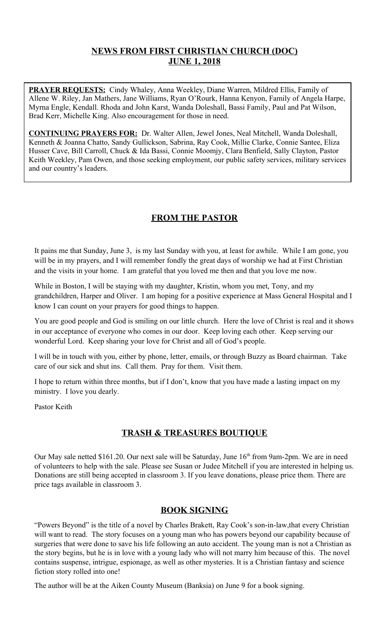## **NEWS FROM FIRST CHRISTIAN CHURCH (DOC) JUNE 1, 2018**

**PRAYER REQUESTS:** Cindy Whaley, Anna Weekley, Diane Warren, Mildred Ellis, Family of Allene W. Riley, Jan Mathers, Jane Williams, Ryan O'Rourk, Hanna Kenyon, Family of Angela Harpe, Myrna Engle, Kendall. Rhoda and John Karst, Wanda Doleshall, Bassi Family, Paul and Pat Wilson, Brad Kerr, Michelle King. Also encouragement for those in need.

**CONTINUING PRAYERS FOR:** Dr. Walter Allen, Jewel Jones, Neal Mitchell, Wanda Doleshall, Kenneth & Joanna Chatto, Sandy Gullickson, Sabrina, Ray Cook, Millie Clarke, Connie Santee, Eliza Husser Cave, Bill Carroll, Chuck & Ida Bassi, Connie Moomjy, Clara Benfield, Sally Clayton, Pastor Keith Weekley, Pam Owen, and those seeking employment, our public safety services, military services and our country's leaders.

# **FROM THE PASTOR**

It pains me that Sunday, June 3, is my last Sunday with you, at least for awhile. While I am gone, you will be in my prayers, and I will remember fondly the great days of worship we had at First Christian and the visits in your home. I am grateful that you loved me then and that you love me now.

While in Boston, I will be staying with my daughter, Kristin, whom you met, Tony, and my grandchildren, Harper and Oliver. I am hoping for a positive experience at Mass General Hospital and I know I can count on your prayers for good things to happen.

You are good people and God is smiling on our little church. Here the love of Christ is real and it shows in our acceptance of everyone who comes in our door. Keep loving each other. Keep serving our wonderful Lord. Keep sharing your love for Christ and all of God's people.

I will be in touch with you, either by phone, letter, emails, or through Buzzy as Board chairman. Take care of our sick and shut ins. Call them. Pray for them. Visit them.

I hope to return within three months, but if I don't, know that you have made a lasting impact on my ministry. I love you dearly.

Pastor Keith

# **TRASH & TREASURES BOUTIQUE**

Our May sale netted \$161.20. Our next sale will be Saturday, June 16<sup>th</sup> from 9am-2pm. We are in need of volunteers to help with the sale. Please see Susan or Judee Mitchell if you are interested in helping us. Donations are still being accepted in classroom 3. If you leave donations, please price them. There are price tags available in classroom 3.

### **BOOK SIGNING**

"Powers Beyond" is the title of a novel by Charles Brakett, Ray Cook's son-in-law,that every Christian will want to read. The story focuses on a young man who has powers beyond our capability because of surgeries that were done to save his life following an auto accident. The young man is not a Christian as the story begins, but he is in love with a young lady who will not marry him because of this. The novel contains suspense, intrigue, espionage, as well as other mysteries. It is a Christian fantasy and science fiction story rolled into one!

The author will be at the Aiken County Museum (Banksia) on June 9 for a book signing.